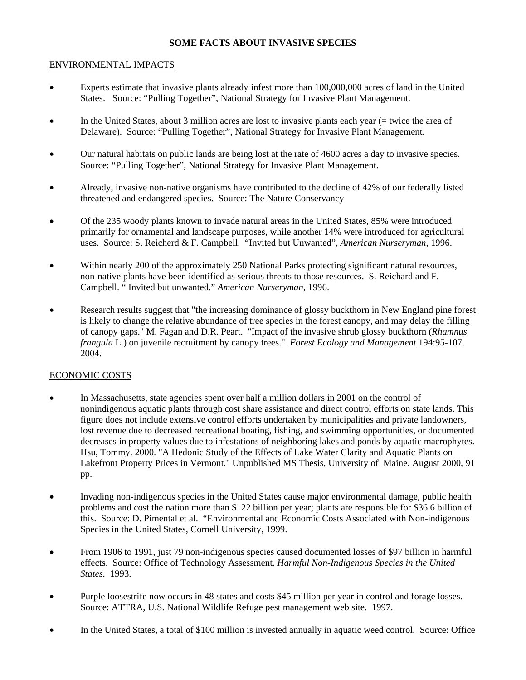## **SOME FACTS ABOUT INVASIVE SPECIES**

## ENVIRONMENTAL IMPACTS

- Experts estimate that invasive plants already infest more than 100,000,000 acres of land in the United States. Source: "Pulling Together", National Strategy for Invasive Plant Management.
- In the United States, about 3 million acres are lost to invasive plants each year (= twice the area of Delaware). Source: "Pulling Together", National Strategy for Invasive Plant Management.
- Our natural habitats on public lands are being lost at the rate of 4600 acres a day to invasive species. Source: "Pulling Together", National Strategy for Invasive Plant Management.
- Already, invasive non-native organisms have contributed to the decline of 42% of our federally listed threatened and endangered species. Source: The Nature Conservancy
- Of the 235 woody plants known to invade natural areas in the United States, 85% were introduced primarily for ornamental and landscape purposes, while another 14% were introduced for agricultural uses. Source: S. Reicherd & F. Campbell. "Invited but Unwanted", *American Nurseryman*, 1996.
- Within nearly 200 of the approximately 250 National Parks protecting significant natural resources, non-native plants have been identified as serious threats to those resources. S. Reichard and F. Campbell. " Invited but unwanted." *American Nurseryman,* 1996.
- Research results suggest that "the increasing dominance of glossy buckthorn in New England pine forest is likely to change the relative abundance of tree species in the forest canopy, and may delay the filling of canopy gaps." M. Fagan and D.R. Peart. "Impact of the invasive shrub glossy buckthorn (*Rhamnus frangula* L.) on juvenile recruitment by canopy trees." *Forest Ecology and Management* 194:95-107. 2004.

## ECONOMIC COSTS

- In Massachusetts, state agencies spent over half a million dollars in 2001 on the control of nonindigenous aquatic plants through cost share assistance and direct control efforts on state lands. This figure does not include extensive control efforts undertaken by municipalities and private landowners, lost revenue due to decreased recreational boating, fishing, and swimming opportunities, or documented decreases in property values due to infestations of neighboring lakes and ponds by aquatic macrophytes. Hsu, Tommy. 2000. "A Hedonic Study of the Effects of Lake Water Clarity and Aquatic Plants on Lakefront Property Prices in Vermont." Unpublished MS Thesis, University of Maine. August 2000, 91 pp.
- Invading non-indigenous species in the United States cause major environmental damage, public health problems and cost the nation more than \$122 billion per year; plants are responsible for \$36.6 billion of this. Source: D. Pimental et al. "Environmental and Economic Costs Associated with Non-indigenous Species in the United States, Cornell University, 1999.
- From 1906 to 1991, just 79 non-indigenous species caused documented losses of \$97 billion in harmful effects. Source: Office of Technology Assessment. *Harmful Non-Indigenous Species in the United States.* 1993.
- Purple loosestrife now occurs in 48 states and costs \$45 million per year in control and forage losses. Source: ATTRA, U.S. National Wildlife Refuge pest management web site. 1997.
- In the United States, a total of \$100 million is invested annually in aquatic weed control. Source: Office